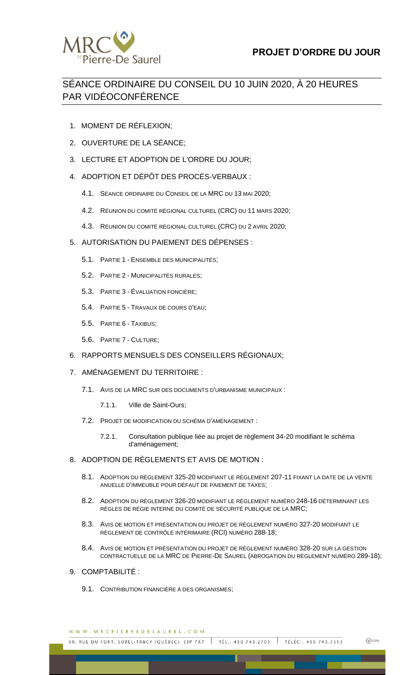

# SÉANCE ORDINAIRE DU CONSEIL DU 10 JUIN 2020, À 20 HEURES PAR VIDÉOCONFÉRENCE

- 1. MOMENT DE RÉFLEXION;
- 2. OUVERTURE DE LA SÉANCE;
- 3. LECTURE ET ADOPTION DE L'ORDRE DU JOUR;
- 4. ADOPTION ET DÉPÔT DES PROCÈS-VERBAUX :
	- 4.1. SÉANCE ORDINAIRE DU CONSEIL DE LA MRC DU 13 MAI 2020;
	- 4.2. RÉUNION DU COMITÉ RÉGIONAL CULTUREL (CRC) DU 11 MARS 2020;
	- 4.3. RÉUNION DU COMITÉ RÉGIONAL CULTUREL (CRC) DU 2 AVRIL 2020;

### 5. AUTORISATION DU PAIEMENT DES DÉPENSES :

- 5.1. PARTIE 1 ENSEMBLE DES MUNICIPALITÉS;
- 5.2. PARTIE 2 MUNICIPALITÉS RURALES;
- 5.3. PARTIE 3 ÉVALUATION FONCIÈRE;
- 5.4. PARTIE 5 TRAVAUX DE COURS D'EAU;
- 5.5. PARTIE 6 TAXIBUS;
- 5.6. PARTIE 7 CULTURE;

#### 6. RAPPORTS MENSUELS DES CONSEILLERS RÉGIONAUX;

#### 7. AMÉNAGEMENT DU TERRITOIRE :

- 7.1. AVIS DE LA MRC SUR DES DOCUMENTS D'URBANISME MUNICIPAUX :
	- 7.1.1. Ville de Saint-Ours;
- 7.2. PROJET DE MODIFICATION DU SCHÉMA D'AMÉNAGEMENT :
	- 7.2.1. Consultation publique liée au projet de règlement 34-20 modifiant le schéma d'aménagement;

#### 8. ADOPTION DE RÈGLEMENTS ET AVIS DE MOTION :

- 8.1. ADOPTION DU RÈGLEMENT 325-20 MODIFIANT LE RÈGLEMENT 207-11 FIXANT LA DATE DE LA VENTE ANUELLE D'IMMEUBLE POUR DÉFAUT DE PAIEMENT DE TAXES;
- 8.2. ADOPTION DU RÈGLEMENT 326-20 MODIFIANT LE RÈGLEMENT NUMÉRO 248-16 DÉTERMINANT LES RÈGLES DE RÉGIE INTERNE DU COMITÉ DE SÉCURITÉ PUBLIQUE DE LA MRC;
- 8.3. AVIS DE MOTION ET PRÉSENTATION DU PROJET DE RÈGLEMENT NUMÉRO 327-20 MODIFIANT LE RÈGLEMENT DE CONTRÔLE INTÉRIMAIRE (RCI) NUMÉRO 288-18;
- 8.4. AVIS DE MOTION ET PRÉSENTATION DU PROJET DE RÈGLEMENT NUMÉRO 328-20 SUR LA GESTION CONTRACTUELLE DE LA MRC DE PIERRE-DE SAUREL (ABROGATION DU RÈGLEMENT NUMÉRO 289-18);

**图 100%** 

- 9. COMPTABILITÉ :
	- 9.1. CONTRIBUTION FINANCIÈRE À DES ORGANISMES;

WWW.MRCPIERREDESAUREL.COM